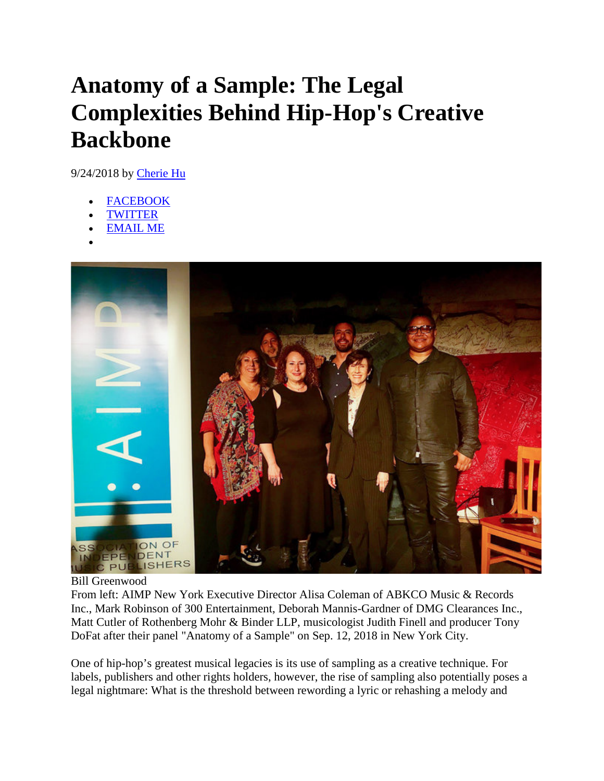## **Anatomy of a Sample: The Legal Complexities Behind Hip-Hop's Creative Backbone**

9/24/2018 by [Cherie Hu](https://www.billboard.com/author/cherie-hu-7874128)

- **FACEBOOK**
- [TWITTER](javascript:void(0);)
- [EMAIL ME](mailto:?body=https://www.billboard.com/articles/business/8474562/samples-legal-complexities-behind-hip-hop-creative-backbone&subject=Anatomy%20of%20a%20Sample:%20The%20Legal%20Complexities%20Behind%20Hip-Hop)
- •



Bill Greenwood

From left: AIMP New York Executive Director Alisa Coleman of ABKCO Music & Records Inc., Mark Robinson of 300 Entertainment, Deborah Mannis-Gardner of DMG Clearances Inc., Matt Cutler of Rothenberg Mohr & Binder LLP, musicologist Judith Finell and producer Tony DoFat after their panel "Anatomy of a Sample" on Sep. 12, 2018 in New York City.

One of hip-hop's greatest musical legacies is its use of sampling as a creative technique. For labels, publishers and other rights holders, however, the rise of sampling also potentially poses a legal nightmare: What is the threshold between rewording a lyric or rehashing a melody and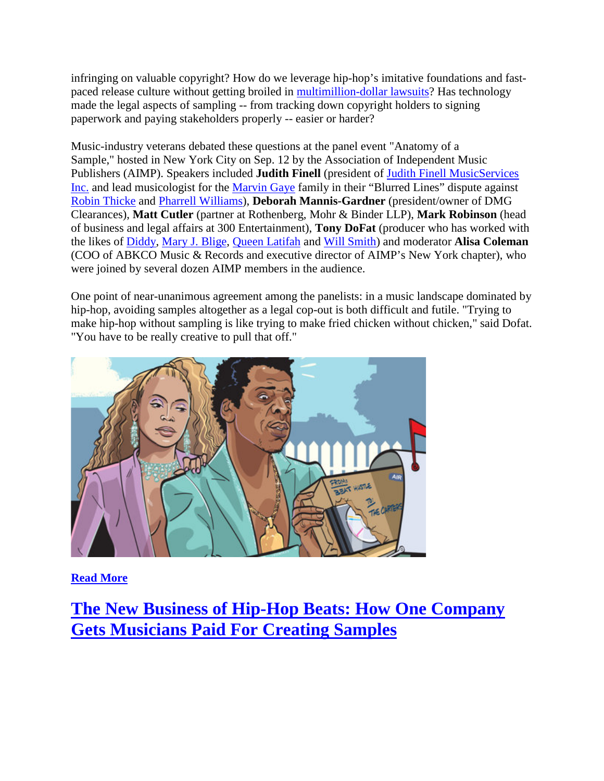infringing on valuable copyright? How do we leverage hip-hop's imitative foundations and fastpaced release culture without getting broiled in [multimillion-dollar lawsuits?](https://www.billboard.com/articles/news/8257580/blurred-lines-appeal-pharrell-robin-thicke-marvin-gaye-legal-analysis) Has technology made the legal aspects of sampling -- from tracking down copyright holders to signing paperwork and paying stakeholders properly -- easier or harder?

Music-industry veterans debated these questions at the panel event "Anatomy of a Sample," hosted in New York City on Sep. 12 by the Association of Independent Music Publishers (AIMP). Speakers included **Judith Finell** (president of [Judith Finell MusicServices](http://www2.jfmusicservices.com/)  [Inc.](http://www2.jfmusicservices.com/) and lead musicologist for the [Marvin Gaye](https://www.billboard.com/music/marvin-gaye/chart-history) family in their "Blurred Lines" dispute against [Robin Thicke](https://www.billboard.com/music/robin-thicke/chart-history/) and [Pharrell Williams\)](https://www.billboard.com/music/pharrell-williams/chart-history), **Deborah Mannis-Gardner** (president/owner of DMG Clearances), **Matt Cutler** (partner at Rothenberg, Mohr & Binder LLP), **Mark Robinson** (head of business and legal affairs at 300 Entertainment), **Tony DoFat** (producer who has worked with the likes of [Diddy,](https://www.billboard.com/music/puff-daddy/chart-history) [Mary J. Blige,](https://www.billboard.com/music/mary-j-blige/chart-history) [Queen Latifah](https://www.billboard.com/music/queen-latifah/chart-history) and [Will Smith\)](https://www.billboard.com/music/will-smith/chart-history) and moderator **Alisa Coleman** (COO of ABKCO Music & Records and executive director of AIMP's New York chapter), who were joined by several dozen AIMP members in the audience.

One point of near-unanimous agreement among the panelists: in a music landscape dominated by hip-hop, avoiding samples altogether as a legal cop-out is both difficult and futile. "Trying to make hip-hop without sampling is like trying to make fried chicken without chicken," said Dofat. "You have to be really creative to pull that off."



**[Read More](https://www.billboard.com/articles/business/8463320/business-beats-beathustle-help-musicians-paid-hip-hop-sample)**

**[The New Business of Hip-Hop Beats: How One Company](https://www.billboard.com/articles/business/8463320/business-beats-beathustle-help-musicians-paid-hip-hop-sample)  [Gets Musicians Paid For Creating Samples](https://www.billboard.com/articles/business/8463320/business-beats-beathustle-help-musicians-paid-hip-hop-sample)**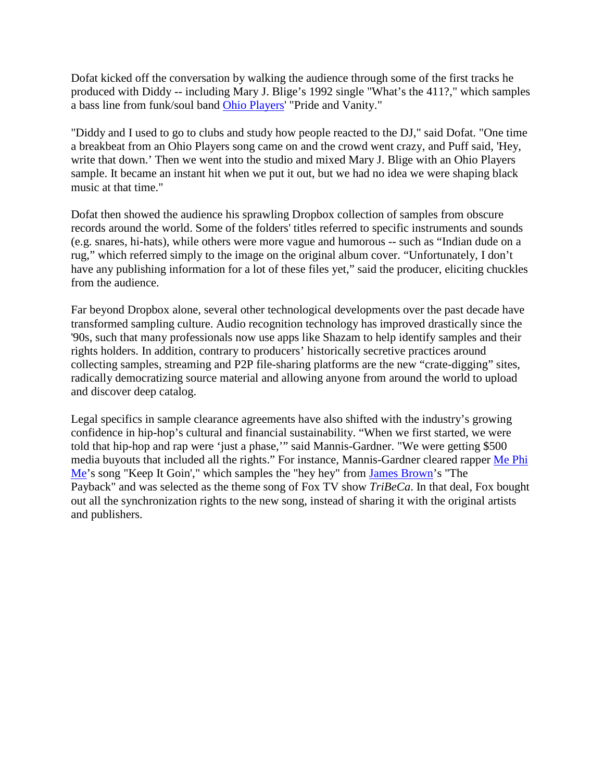Dofat kicked off the conversation by walking the audience through some of the first tracks he produced with Diddy -- including Mary J. Blige's 1992 single "What's the 411?," which samples a bass line from funk/soul band [Ohio Players'](https://www.billboard.com/music/ohio-players/chart-history/) "Pride and Vanity."

"Diddy and I used to go to clubs and study how people reacted to the DJ," said Dofat. "One time a breakbeat from an Ohio Players song came on and the crowd went crazy, and Puff said, 'Hey, write that down.' Then we went into the studio and mixed Mary J. Blige with an Ohio Players sample. It became an instant hit when we put it out, but we had no idea we were shaping black music at that time."

Dofat then showed the audience his sprawling Dropbox collection of samples from obscure records around the world. Some of the folders' titles referred to specific instruments and sounds (e.g. snares, hi-hats), while others were more vague and humorous -- such as "Indian dude on a rug," which referred simply to the image on the original album cover. "Unfortunately, I don't have any publishing information for a lot of these files yet," said the producer, eliciting chuckles from the audience.

Far beyond Dropbox alone, several other technological developments over the past decade have transformed sampling culture. Audio recognition technology has improved drastically since the '90s, such that many professionals now use apps like Shazam to help identify samples and their rights holders. In addition, contrary to producers' historically secretive practices around collecting samples, streaming and P2P file-sharing platforms are the new "crate-digging" sites, radically democratizing source material and allowing anyone from around the world to upload and discover deep catalog.

Legal specifics in sample clearance agreements have also shifted with the industry's growing confidence in hip-hop's cultural and financial sustainability. "When we first started, we were told that hip-hop and rap were 'just a phase,'" said Mannis-Gardner. "We were getting \$500 media buyouts that included all the rights." For instance, Mannis-Gardner cleared rapper [Me Phi](https://www.youtube.com/watch?v=oIqcAEJ23bE)  [Me'](https://www.youtube.com/watch?v=oIqcAEJ23bE)s song "Keep It Goin'," which samples the "hey hey" from [James Brown'](https://www.billboard.com/music/james-brown/chart-history/)s "The Payback" and was selected as the theme song of Fox TV show *TriBeCa*. In that deal, Fox bought out all the synchronization rights to the new song, instead of sharing it with the original artists and publishers.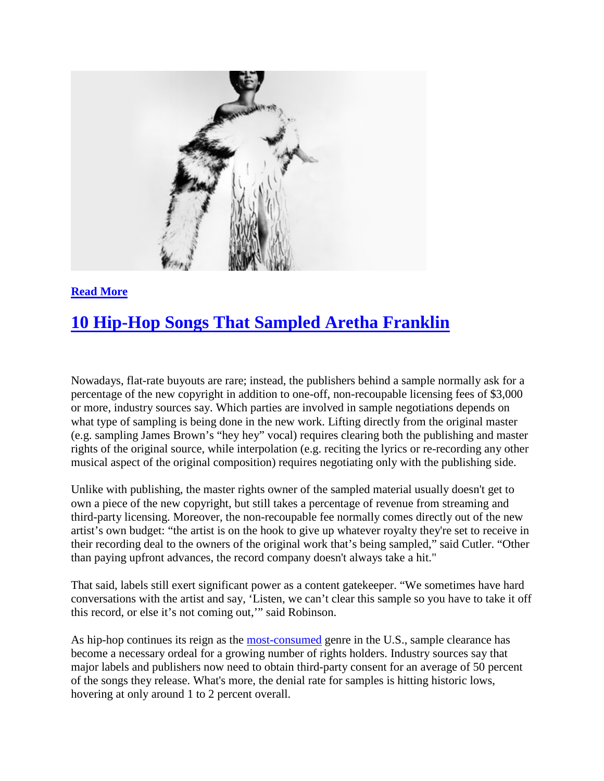

## **[Read More](https://www.billboard.com/articles/columns/hip-hop/8470522/aretha-franklin-rap-samples)**

## **[10 Hip-Hop Songs That Sampled Aretha Franklin](https://www.billboard.com/articles/columns/hip-hop/8470522/aretha-franklin-rap-samples)**

Nowadays, flat-rate buyouts are rare; instead, the publishers behind a sample normally ask for a percentage of the new copyright in addition to one-off, non-recoupable licensing fees of \$3,000 or more, industry sources say. Which parties are involved in sample negotiations depends on what type of sampling is being done in the new work. Lifting directly from the original master (e.g. sampling James Brown's "hey hey" vocal) requires clearing both the publishing and master rights of the original source, while interpolation (e.g. reciting the lyrics or re-recording any other musical aspect of the original composition) requires negotiating only with the publishing side.

Unlike with publishing, the master rights owner of the sampled material usually doesn't get to own a piece of the new copyright, but still takes a percentage of revenue from streaming and third-party licensing. Moreover, the non-recoupable fee normally comes directly out of the new artist's own budget: "the artist is on the hook to give up whatever royalty they're set to receive in their recording deal to the owners of the original work that's being sampled," said Cutler. "Other than paying upfront advances, the record company doesn't always take a hit."

That said, labels still exert significant power as a content gatekeeper. "We sometimes have hard conversations with the artist and say, 'Listen, we can't clear this sample so you have to take it off this record, or else it's not coming out,'" said Robinson.

As hip-hop continues its reign as the [most-consumed](https://www.billboard.com/articles/columns/chart-beat/8085975/us-music-consumption-up-2017-rb-hip-hop-most-popular-genre) genre in the U.S., sample clearance has become a necessary ordeal for a growing number of rights holders. Industry sources say that major labels and publishers now need to obtain third-party consent for an average of 50 percent of the songs they release. What's more, the denial rate for samples is hitting historic lows, hovering at only around 1 to 2 percent overall.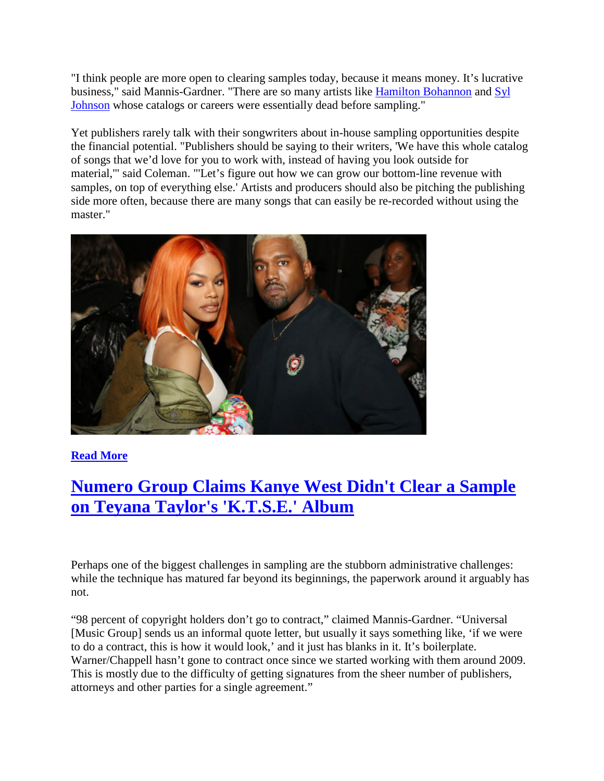"I think people are more open to clearing samples today, because it means money. It's lucrative business," said Mannis-Gardner. "There are so many artists like [Hamilton Bohannon](https://www.billboard.com/music/hamilton-bohannon/chart-history/) and [Syl](https://www.billboard.com/music/syl-johnson/chart-history/)  [Johnson](https://www.billboard.com/music/syl-johnson/chart-history/) whose catalogs or careers were essentially dead before sampling."

Yet publishers rarely talk with their songwriters about in-house sampling opportunities despite the financial potential. "Publishers should be saying to their writers, 'We have this whole catalog of songs that we'd love for you to work with, instead of having you look outside for material,'" said Coleman. "'Let's figure out how we can grow our bottom-line revenue with samples, on top of everything else.' Artists and producers should also be pitching the publishing side more often, because there are many songs that can easily be re-recorded without using the master."



**[Read More](https://www.billboard.com/articles/columns/hip-hop/8463080/teyana-taylor-ktse-kanye-west-sample-issues)**

## **[Numero Group Claims Kanye West Didn't Clear a Sample](https://www.billboard.com/articles/columns/hip-hop/8463080/teyana-taylor-ktse-kanye-west-sample-issues)  [on Teyana Taylor's 'K.T.S.E.' Album](https://www.billboard.com/articles/columns/hip-hop/8463080/teyana-taylor-ktse-kanye-west-sample-issues)**

Perhaps one of the biggest challenges in sampling are the stubborn administrative challenges: while the technique has matured far beyond its beginnings, the paperwork around it arguably has not.

"98 percent of copyright holders don't go to contract," claimed Mannis-Gardner. "Universal [Music Group] sends us an informal quote letter, but usually it says something like, 'if we were to do a contract, this is how it would look,' and it just has blanks in it. It's boilerplate. Warner/Chappell hasn't gone to contract once since we started working with them around 2009. This is mostly due to the difficulty of getting signatures from the sheer number of publishers, attorneys and other parties for a single agreement."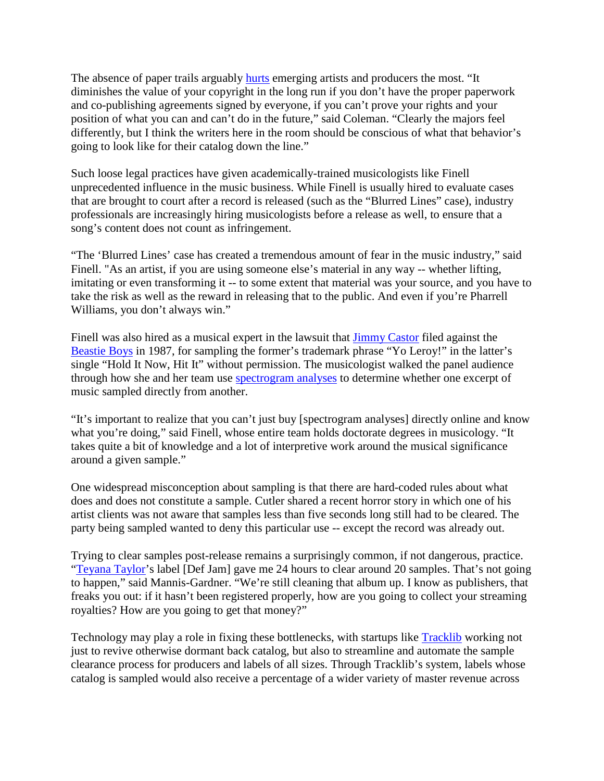The absence of paper trails arguably **hurts** emerging artists and producers the most. "It diminishes the value of your copyright in the long run if you don't have the proper paperwork and co-publishing agreements signed by everyone, if you can't prove your rights and your position of what you can and can't do in the future," said Coleman. "Clearly the majors feel differently, but I think the writers here in the room should be conscious of what that behavior's going to look like for their catalog down the line."

Such loose legal practices have given academically-trained musicologists like Finell unprecedented influence in the music business. While Finell is usually hired to evaluate cases that are brought to court after a record is released (such as the "Blurred Lines" case), industry professionals are increasingly hiring musicologists before a release as well, to ensure that a song's content does not count as infringement.

"The 'Blurred Lines' case has created a tremendous amount of fear in the music industry," said Finell. "As an artist, if you are using someone else's material in any way -- whether lifting, imitating or even transforming it -- to some extent that material was your source, and you have to take the risk as well as the reward in releasing that to the public. And even if you're Pharrell Williams, you don't always win."

Finell was also hired as a musical expert in the lawsuit that [Jimmy Castor](https://www.billboard.com/music/jimmy-castor/chart-history) filed against the [Beastie Boys](https://www.billboard.com/music/beastie-boys/chart-history) in 1987, for sampling the former's trademark phrase "Yo Leroy!" in the latter's single "Hold It Now, Hit It" without permission. The musicologist walked the panel audience through how she and her team use [spectrogram analyses](https://en.wikipedia.org/wiki/Spectrogram) to determine whether one excerpt of music sampled directly from another.

"It's important to realize that you can't just buy [spectrogram analyses] directly online and know what you're doing," said Finell, whose entire team holds doctorate degrees in musicology. "It takes quite a bit of knowledge and a lot of interpretive work around the musical significance around a given sample."

One widespread misconception about sampling is that there are hard-coded rules about what does and does not constitute a sample. Cutler shared a recent horror story in which one of his artist clients was not aware that samples less than five seconds long still had to be cleared. The party being sampled wanted to deny this particular use -- except the record was already out.

Trying to clear samples post-release remains a surprisingly common, if not dangerous, practice. ["Teyana Taylor'](https://www.billboard.com/music/teyana-taylor/chart-history)s label [Def Jam] gave me 24 hours to clear around 20 samples. That's not going to happen," said Mannis-Gardner. "We're still cleaning that album up. I know as publishers, that freaks you out: if it hasn't been registered properly, how are you going to collect your streaming royalties? How are you going to get that money?"

Technology may play a role in fixing these bottlenecks, with startups like [Tracklib](https://www.tracklib.com/) working not just to revive otherwise dormant back catalog, but also to streamline and automate the sample clearance process for producers and labels of all sizes. Through Tracklib's system, labels whose catalog is sampled would also receive a percentage of a wider variety of master revenue across